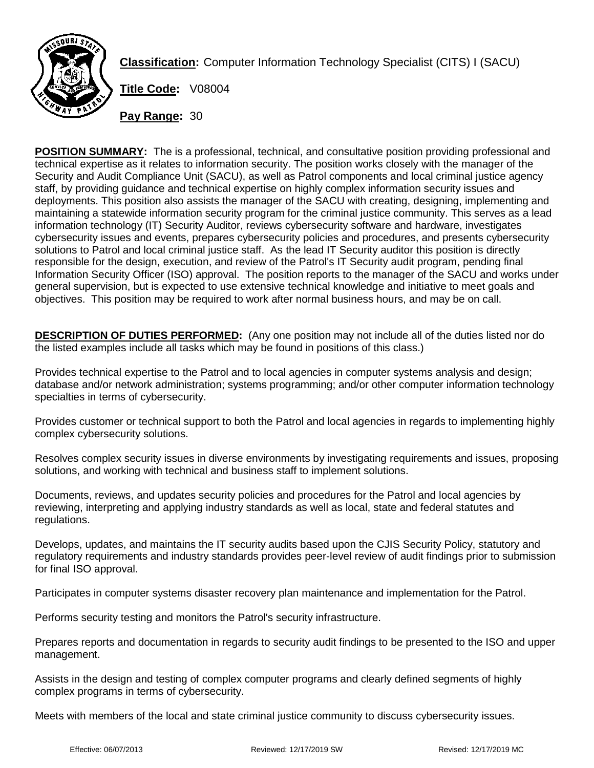

**Classification:** Computer Information Technology Specialist (CITS) I (SACU)

**Title Code:** V08004

**Pay Range:** 30

**POSITION SUMMARY:** The is a professional, technical, and consultative position providing professional and technical expertise as it relates to information security. The position works closely with the manager of the Security and Audit Compliance Unit (SACU), as well as Patrol components and local criminal justice agency staff, by providing guidance and technical expertise on highly complex information security issues and deployments. This position also assists the manager of the SACU with creating, designing, implementing and maintaining a statewide information security program for the criminal justice community. This serves as a lead information technology (IT) Security Auditor, reviews cybersecurity software and hardware, investigates cybersecurity issues and events, prepares cybersecurity policies and procedures, and presents cybersecurity solutions to Patrol and local criminal justice staff. As the lead IT Security auditor this position is directly responsible for the design, execution, and review of the Patrol's IT Security audit program, pending final Information Security Officer (ISO) approval. The position reports to the manager of the SACU and works under general supervision, but is expected to use extensive technical knowledge and initiative to meet goals and objectives. This position may be required to work after normal business hours, and may be on call.

**DESCRIPTION OF DUTIES PERFORMED:** (Any one position may not include all of the duties listed nor do the listed examples include all tasks which may be found in positions of this class.)

Provides technical expertise to the Patrol and to local agencies in computer systems analysis and design; database and/or network administration; systems programming; and/or other computer information technology specialties in terms of cybersecurity.

Provides customer or technical support to both the Patrol and local agencies in regards to implementing highly complex cybersecurity solutions.

Resolves complex security issues in diverse environments by investigating requirements and issues, proposing solutions, and working with technical and business staff to implement solutions.

Documents, reviews, and updates security policies and procedures for the Patrol and local agencies by reviewing, interpreting and applying industry standards as well as local, state and federal statutes and regulations.

Develops, updates, and maintains the IT security audits based upon the CJIS Security Policy, statutory and regulatory requirements and industry standards provides peer-level review of audit findings prior to submission for final ISO approval.

Participates in computer systems disaster recovery plan maintenance and implementation for the Patrol.

Performs security testing and monitors the Patrol's security infrastructure.

Prepares reports and documentation in regards to security audit findings to be presented to the ISO and upper management.

Assists in the design and testing of complex computer programs and clearly defined segments of highly complex programs in terms of cybersecurity.

Meets with members of the local and state criminal justice community to discuss cybersecurity issues.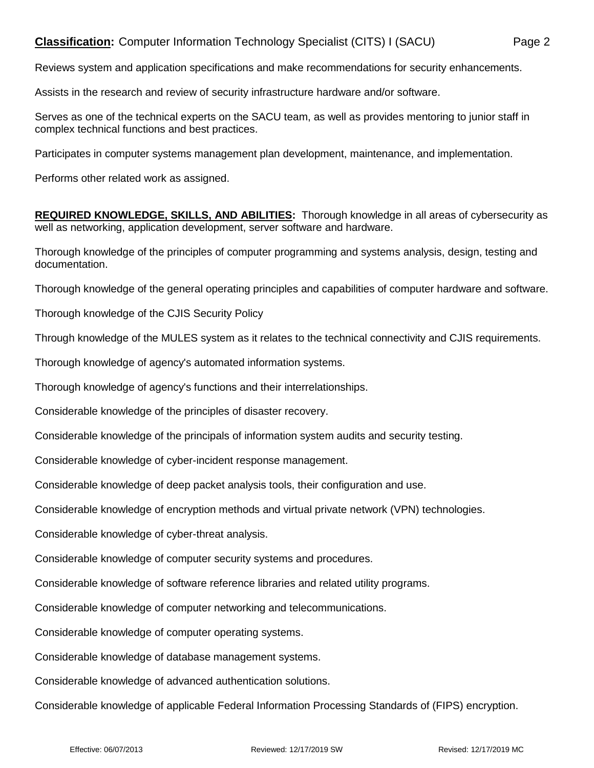## **Classification:** Computer Information Technology Specialist (CITS) I (SACU) Page 2

Reviews system and application specifications and make recommendations for security enhancements.

Assists in the research and review of security infrastructure hardware and/or software.

Serves as one of the technical experts on the SACU team, as well as provides mentoring to junior staff in complex technical functions and best practices.

Participates in computer systems management plan development, maintenance, and implementation.

Performs other related work as assigned.

**REQUIRED KNOWLEDGE, SKILLS, AND ABILITIES:** Thorough knowledge in all areas of cybersecurity as well as networking, application development, server software and hardware.

Thorough knowledge of the principles of computer programming and systems analysis, design, testing and documentation.

Thorough knowledge of the general operating principles and capabilities of computer hardware and software.

Thorough knowledge of the CJIS Security Policy

Through knowledge of the MULES system as it relates to the technical connectivity and CJIS requirements.

Thorough knowledge of agency's automated information systems.

Thorough knowledge of agency's functions and their interrelationships.

Considerable knowledge of the principles of disaster recovery.

Considerable knowledge of the principals of information system audits and security testing.

Considerable knowledge of cyber-incident response management.

Considerable knowledge of deep packet analysis tools, their configuration and use.

Considerable knowledge of encryption methods and virtual private network (VPN) technologies.

Considerable knowledge of cyber-threat analysis.

Considerable knowledge of computer security systems and procedures.

Considerable knowledge of software reference libraries and related utility programs.

Considerable knowledge of computer networking and telecommunications.

Considerable knowledge of computer operating systems.

Considerable knowledge of database management systems.

Considerable knowledge of advanced authentication solutions.

Considerable knowledge of applicable Federal Information Processing Standards of (FIPS) encryption.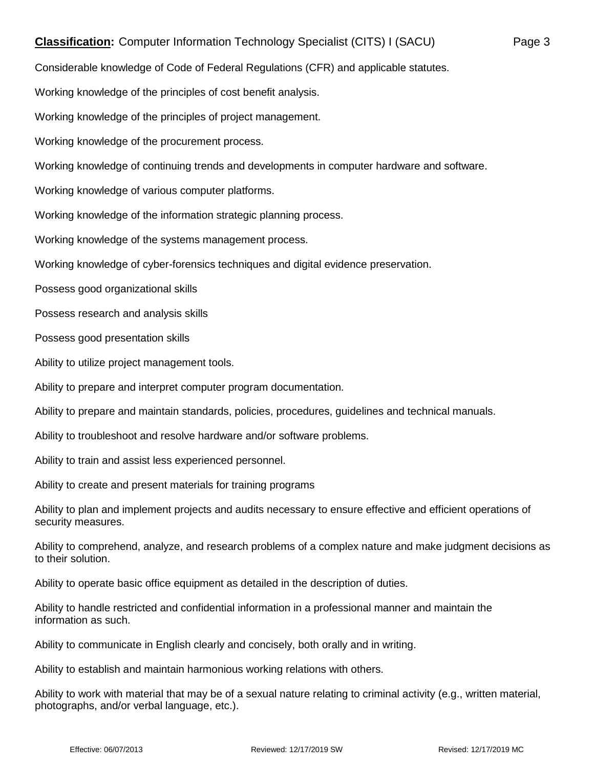## **Classification:** Computer Information Technology Specialist (CITS) I (SACU) Page 3

Considerable knowledge of Code of Federal Regulations (CFR) and applicable statutes.

Working knowledge of the principles of cost benefit analysis.

Working knowledge of the principles of project management.

Working knowledge of the procurement process.

Working knowledge of continuing trends and developments in computer hardware and software.

Working knowledge of various computer platforms.

Working knowledge of the information strategic planning process.

Working knowledge of the systems management process.

Working knowledge of cyber-forensics techniques and digital evidence preservation.

Possess good organizational skills

Possess research and analysis skills

Possess good presentation skills

Ability to utilize project management tools.

Ability to prepare and interpret computer program documentation.

Ability to prepare and maintain standards, policies, procedures, guidelines and technical manuals.

Ability to troubleshoot and resolve hardware and/or software problems.

Ability to train and assist less experienced personnel.

Ability to create and present materials for training programs

Ability to plan and implement projects and audits necessary to ensure effective and efficient operations of security measures.

Ability to comprehend, analyze, and research problems of a complex nature and make judgment decisions as to their solution.

Ability to operate basic office equipment as detailed in the description of duties.

Ability to handle restricted and confidential information in a professional manner and maintain the information as such.

Ability to communicate in English clearly and concisely, both orally and in writing.

Ability to establish and maintain harmonious working relations with others.

Ability to work with material that may be of a sexual nature relating to criminal activity (e.g., written material, photographs, and/or verbal language, etc.).